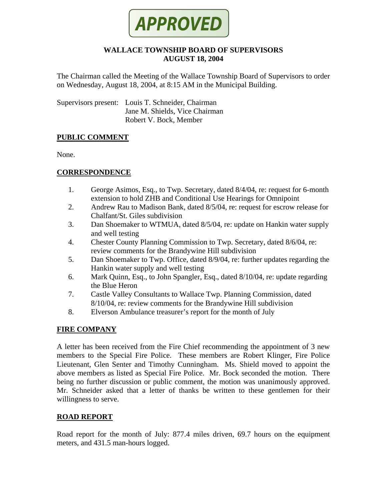

#### **WALLACE TOWNSHIP BOARD OF SUPERVISORS AUGUST 18, 2004**

The Chairman called the Meeting of the Wallace Township Board of Supervisors to order on Wednesday, August 18, 2004, at 8:15 AM in the Municipal Building.

Supervisors present: Louis T. Schneider, Chairman Jane M. Shields, Vice Chairman Robert V. Bock, Member

#### **PUBLIC COMMENT**

None.

## **CORRESPONDENCE**

- 1. George Asimos, Esq., to Twp. Secretary, dated 8/4/04, re: request for 6-month extension to hold ZHB and Conditional Use Hearings for Omnipoint
- 2. Andrew Rau to Madison Bank, dated 8/5/04, re: request for escrow release for Chalfant/St. Giles subdivision
- 3. Dan Shoemaker to WTMUA, dated 8/5/04, re: update on Hankin water supply and well testing
- 4. Chester County Planning Commission to Twp. Secretary, dated 8/6/04, re: review comments for the Brandywine Hill subdivision
- 5. Dan Shoemaker to Twp. Office, dated 8/9/04, re: further updates regarding the Hankin water supply and well testing
- 6. Mark Quinn, Esq., to John Spangler, Esq., dated 8/10/04, re: update regarding the Blue Heron
- 7. Castle Valley Consultants to Wallace Twp. Planning Commission, dated 8/10/04, re: review comments for the Brandywine Hill subdivision
- 8. Elverson Ambulance treasurer's report for the month of July

## **FIRE COMPANY**

A letter has been received from the Fire Chief recommending the appointment of 3 new members to the Special Fire Police. These members are Robert Klinger, Fire Police Lieutenant, Glen Senter and Timothy Cunningham. Ms. Shield moved to appoint the above members as listed as Special Fire Police. Mr. Bock seconded the motion. There being no further discussion or public comment, the motion was unanimously approved. Mr. Schneider asked that a letter of thanks be written to these gentlemen for their willingness to serve.

#### **ROAD REPORT**

Road report for the month of July: 877.4 miles driven, 69.7 hours on the equipment meters, and 431.5 man-hours logged.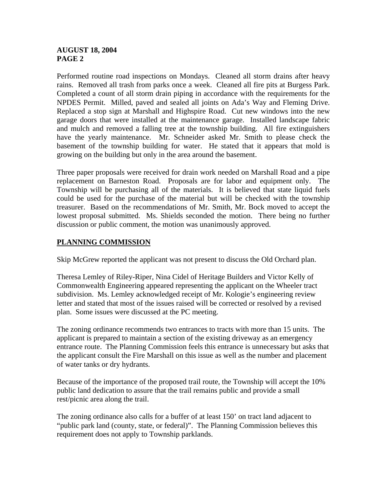## **AUGUST 18, 2004 PAGE 2**

Performed routine road inspections on Mondays. Cleaned all storm drains after heavy rains. Removed all trash from parks once a week. Cleaned all fire pits at Burgess Park. Completed a count of all storm drain piping in accordance with the requirements for the NPDES Permit. Milled, paved and sealed all joints on Ada's Way and Fleming Drive. Replaced a stop sign at Marshall and Highspire Road. Cut new windows into the new garage doors that were installed at the maintenance garage. Installed landscape fabric and mulch and removed a falling tree at the township building. All fire extinguishers have the yearly maintenance. Mr. Schneider asked Mr. Smith to please check the basement of the township building for water. He stated that it appears that mold is growing on the building but only in the area around the basement.

Three paper proposals were received for drain work needed on Marshall Road and a pipe replacement on Barneston Road. Proposals are for labor and equipment only. The Township will be purchasing all of the materials. It is believed that state liquid fuels could be used for the purchase of the material but will be checked with the township treasurer. Based on the recommendations of Mr. Smith, Mr. Bock moved to accept the lowest proposal submitted. Ms. Shields seconded the motion. There being no further discussion or public comment, the motion was unanimously approved.

# **PLANNING COMMISSION**

Skip McGrew reported the applicant was not present to discuss the Old Orchard plan.

Theresa Lemley of Riley-Riper, Nina Cidel of Heritage Builders and Victor Kelly of Commonwealth Engineering appeared representing the applicant on the Wheeler tract subdivision. Ms. Lemley acknowledged receipt of Mr. Kologie's engineering review letter and stated that most of the issues raised will be corrected or resolved by a revised plan. Some issues were discussed at the PC meeting.

The zoning ordinance recommends two entrances to tracts with more than 15 units. The applicant is prepared to maintain a section of the existing driveway as an emergency entrance route. The Planning Commission feels this entrance is unnecessary but asks that the applicant consult the Fire Marshall on this issue as well as the number and placement of water tanks or dry hydrants.

Because of the importance of the proposed trail route, the Township will accept the 10% public land dedication to assure that the trail remains public and provide a small rest/picnic area along the trail.

The zoning ordinance also calls for a buffer of at least 150' on tract land adjacent to "public park land (county, state, or federal)". The Planning Commission believes this requirement does not apply to Township parklands.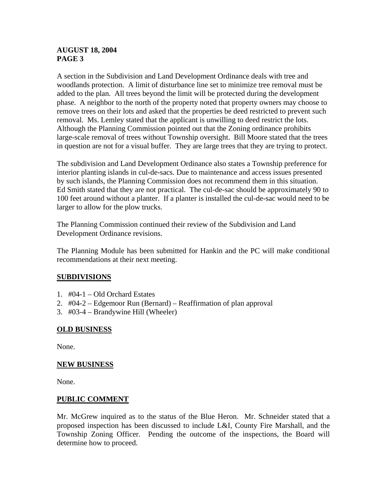## **AUGUST 18, 2004 PAGE 3**

A section in the Subdivision and Land Development Ordinance deals with tree and woodlands protection. A limit of disturbance line set to minimize tree removal must be added to the plan. All trees beyond the limit will be protected during the development phase. A neighbor to the north of the property noted that property owners may choose to remove trees on their lots and asked that the properties be deed restricted to prevent such removal. Ms. Lemley stated that the applicant is unwilling to deed restrict the lots. Although the Planning Commission pointed out that the Zoning ordinance prohibits large-scale removal of trees without Township oversight. Bill Moore stated that the trees in question are not for a visual buffer. They are large trees that they are trying to protect.

The subdivision and Land Development Ordinance also states a Township preference for interior planting islands in cul-de-sacs. Due to maintenance and access issues presented by such islands, the Planning Commission does not recommend them in this situation. Ed Smith stated that they are not practical. The cul-de-sac should be approximately 90 to 100 feet around without a planter. If a planter is installed the cul-de-sac would need to be larger to allow for the plow trucks.

The Planning Commission continued their review of the Subdivision and Land Development Ordinance revisions.

The Planning Module has been submitted for Hankin and the PC will make conditional recommendations at their next meeting.

## **SUBDIVISIONS**

- 1. #04-1 Old Orchard Estates
- 2. #04-2 Edgemoor Run (Bernard) Reaffirmation of plan approval
- 3. #03-4 Brandywine Hill (Wheeler)

## **OLD BUSINESS**

None.

#### **NEW BUSINESS**

None.

#### **PUBLIC COMMENT**

Mr. McGrew inquired as to the status of the Blue Heron. Mr. Schneider stated that a proposed inspection has been discussed to include L&I, County Fire Marshall, and the Township Zoning Officer. Pending the outcome of the inspections, the Board will determine how to proceed.